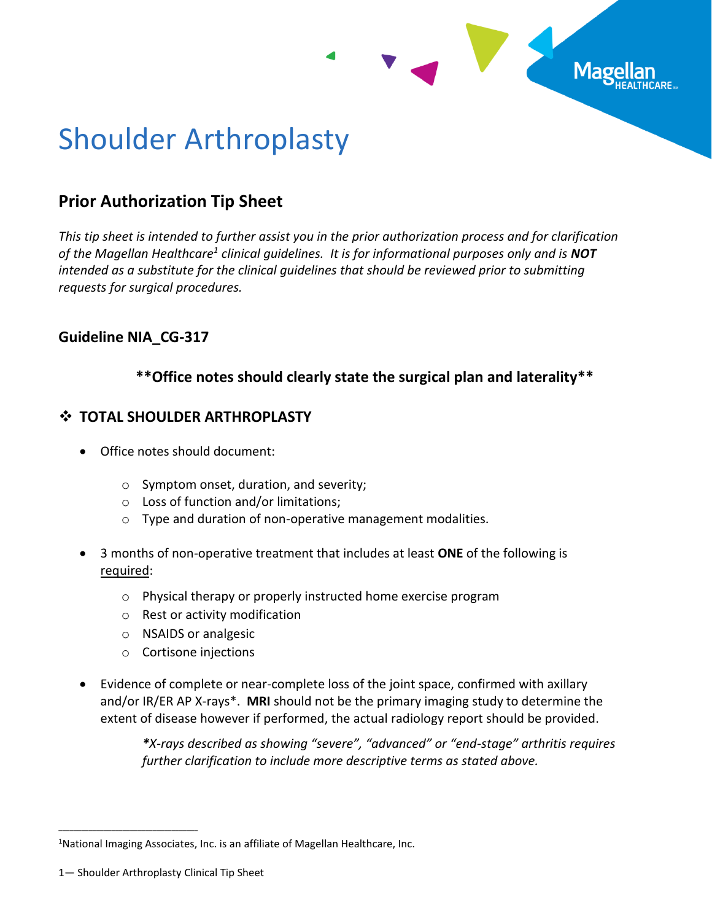

# Shoulder Arthroplasty

# **Prior Authorization Tip Sheet**

*This tip sheet is intended to further assist you in the prior authorization process and for clarification of the Magellan Healthcare<sup>1</sup> clinical guidelines. It is for informational purposes only and is NOT intended as a substitute for the clinical guidelines that should be reviewed prior to submitting requests for surgical procedures.*

# **Guideline NIA\_CG-317**

## **\*\*Office notes should clearly state the surgical plan and laterality\*\***

## ❖ **TOTAL SHOULDER ARTHROPLASTY**

- Office notes should document:
	- o Symptom onset, duration, and severity;
	- o Loss of function and/or limitations;
	- o Type and duration of non-operative management modalities.
- 3 months of non-operative treatment that includes at least **ONE** of the following is required:
	- o Physical therapy or properly instructed home exercise program
	- o Rest or activity modification
	- o NSAIDS or analgesic
	- o Cortisone injections
- Evidence of complete or near-complete loss of the joint space, confirmed with axillary and/or IR/ER AP X-rays\*. **MRI** should not be the primary imaging study to determine the extent of disease however if performed, the actual radiology report should be provided.

*\*X-rays described as showing "severe", "advanced" or "end-stage" arthritis requires further clarification to include more descriptive terms as stated above.* 

\_\_\_\_\_\_\_\_\_\_\_\_\_\_\_\_\_\_\_\_\_\_\_\_\_\_\_\_\_\_\_\_\_\_\_\_\_

<sup>&</sup>lt;sup>1</sup>National Imaging Associates, Inc. is an affiliate of Magellan Healthcare, Inc.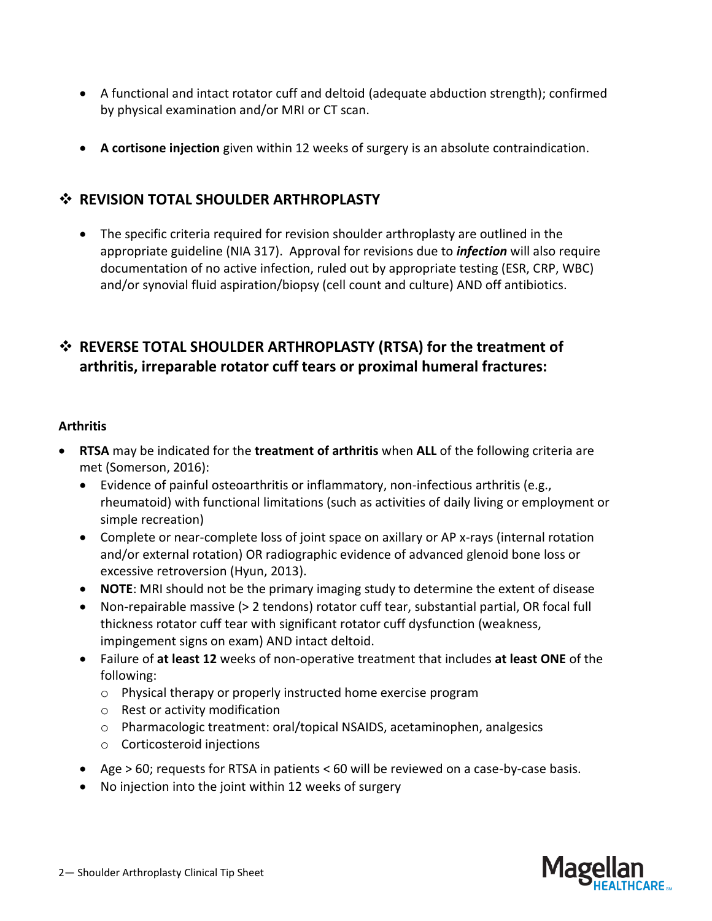- A functional and intact rotator cuff and deltoid (adequate abduction strength); confirmed by physical examination and/or MRI or CT scan.
- **A cortisone injection** given within 12 weeks of surgery is an absolute contraindication.

## ❖ **REVISION TOTAL SHOULDER ARTHROPLASTY**

• The specific criteria required for revision shoulder arthroplasty are outlined in the appropriate guideline (NIA 317). Approval for revisions due to *infection* will also require documentation of no active infection, ruled out by appropriate testing (ESR, CRP, WBC) and/or synovial fluid aspiration/biopsy (cell count and culture) AND off antibiotics.

# ❖ **REVERSE TOTAL SHOULDER ARTHROPLASTY (RTSA) for the treatment of arthritis, irreparable rotator cuff tears or proximal humeral fractures:**

## **Arthritis**

- **RTSA** may be indicated for the **treatment of arthritis** when **ALL** of the following criteria are met (Somerson, 2016):
	- Evidence of painful osteoarthritis or inflammatory, non-infectious arthritis (e.g., rheumatoid) with functional limitations (such as activities of daily living or employment or simple recreation)
	- Complete or near-complete loss of joint space on axillary or AP x-rays (internal rotation and/or external rotation) OR radiographic evidence of advanced glenoid bone loss or excessive retroversion (Hyun, 2013).
	- **NOTE**: MRI should not be the primary imaging study to determine the extent of disease
	- Non-repairable massive (> 2 tendons) rotator cuff tear, substantial partial, OR focal full thickness rotator cuff tear with significant rotator cuff dysfunction (weakness, impingement signs on exam) AND intact deltoid.
	- Failure of **at least 12** weeks of non-operative treatment that includes **at least ONE** of the following:
		- o Physical therapy or properly instructed home exercise program
		- o Rest or activity modification
		- o Pharmacologic treatment: oral/topical NSAIDS, acetaminophen, analgesics
		- o Corticosteroid injections
	- Age > 60; requests for RTSA in patients < 60 will be reviewed on a case-by-case basis.
	- No injection into the joint within 12 weeks of surgery